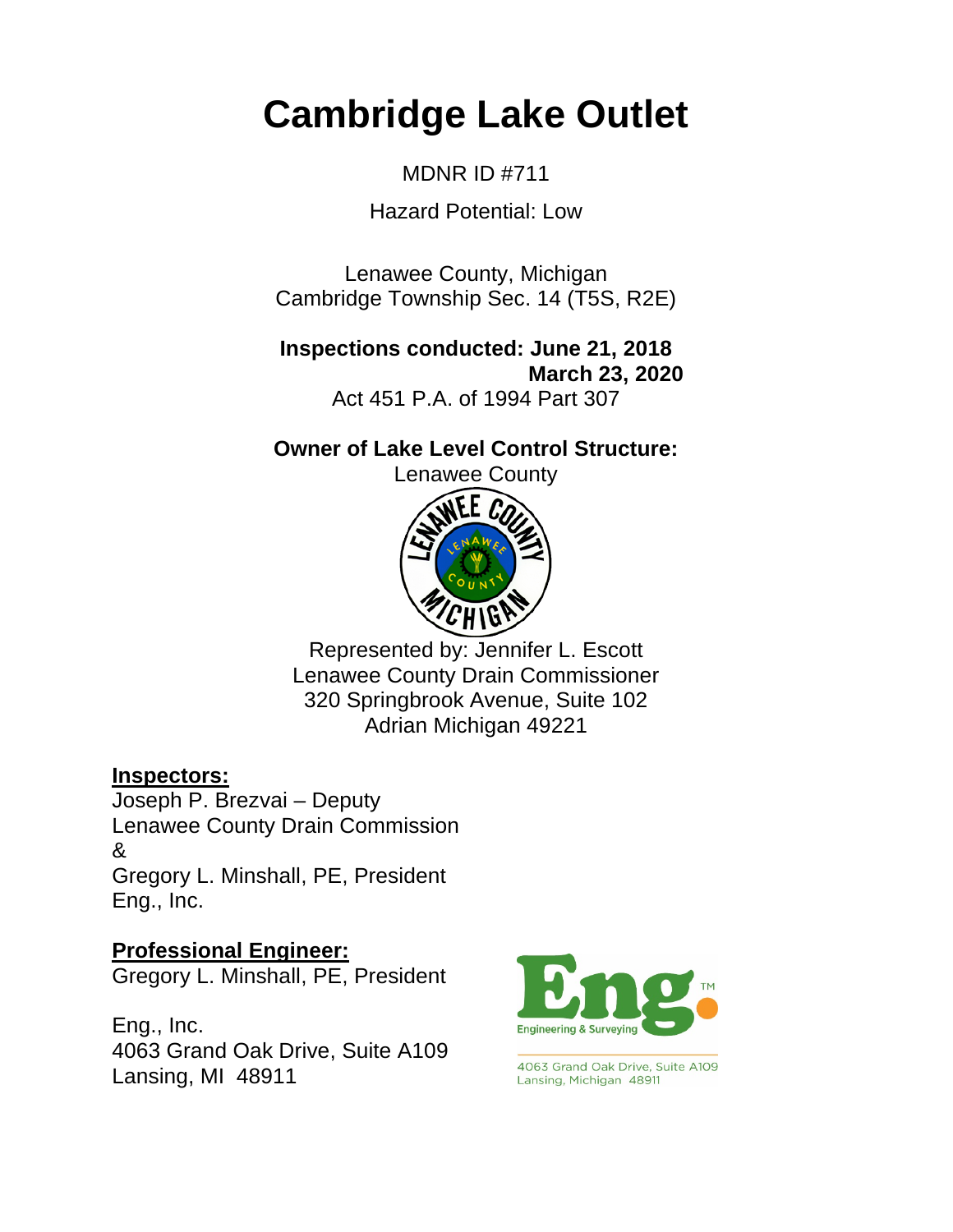# **Cambridge Lake Outlet**

MDNR ID #711

Hazard Potential: Low

Lenawee County, Michigan Cambridge Township Sec. 14 (T5S, R2E)

**Inspections conducted: June 21, 2018 March 23, 2020** Act 451 P.A. of 1994 Part 307

**Owner of Lake Level Control Structure:** 

Lenawee County



Represented by: Jennifer L. Escott Lenawee County Drain Commissioner 320 Springbrook Avenue, Suite 102 Adrian Michigan 49221

## **Inspectors:**

Joseph P. Brezvai – Deputy Lenawee County Drain Commission  $\mathcal{R}$ Gregory L. Minshall, PE, President Eng., Inc.

**Professional Engineer:**

Gregory L. Minshall, PE, President

Eng., Inc. 4063 Grand Oak Drive, Suite A109 Lansing, MI 48911



4063 Grand Oak Drive, Suite A109 Lansing, Michigan 48911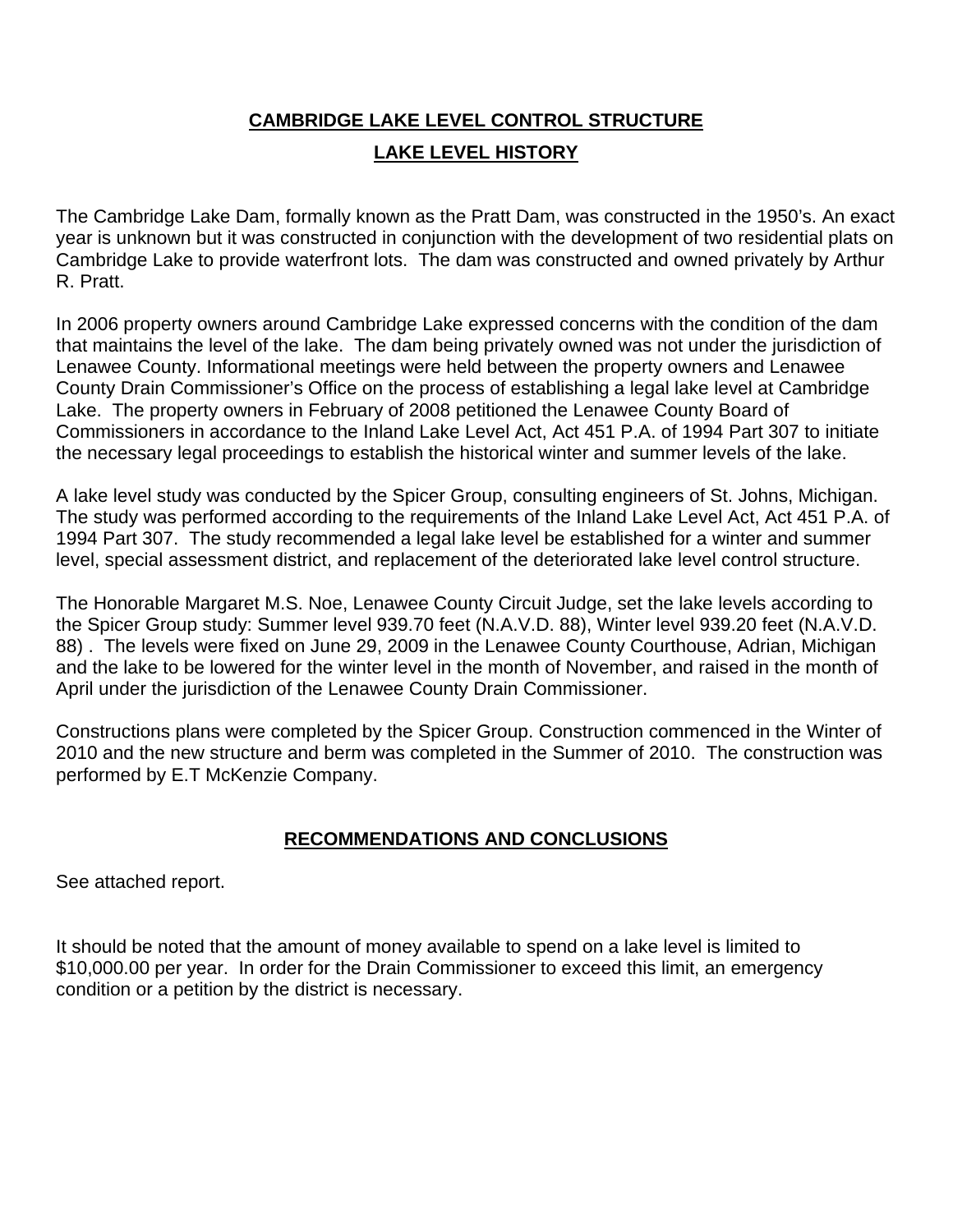# **CAMBRIDGE LAKE LEVEL CONTROL STRUCTURE LAKE LEVEL HISTORY**

The Cambridge Lake Dam, formally known as the Pratt Dam, was constructed in the 1950's. An exact year is unknown but it was constructed in conjunction with the development of two residential plats on Cambridge Lake to provide waterfront lots. The dam was constructed and owned privately by Arthur R. Pratt.

In 2006 property owners around Cambridge Lake expressed concerns with the condition of the dam that maintains the level of the lake. The dam being privately owned was not under the jurisdiction of Lenawee County. Informational meetings were held between the property owners and Lenawee County Drain Commissioner's Office on the process of establishing a legal lake level at Cambridge Lake. The property owners in February of 2008 petitioned the Lenawee County Board of Commissioners in accordance to the Inland Lake Level Act, Act 451 P.A. of 1994 Part 307 to initiate the necessary legal proceedings to establish the historical winter and summer levels of the lake.

A lake level study was conducted by the Spicer Group, consulting engineers of St. Johns, Michigan. The study was performed according to the requirements of the Inland Lake Level Act, Act 451 P.A. of 1994 Part 307. The study recommended a legal lake level be established for a winter and summer level, special assessment district, and replacement of the deteriorated lake level control structure.

The Honorable Margaret M.S. Noe, Lenawee County Circuit Judge, set the lake levels according to the Spicer Group study: Summer level 939.70 feet (N.A.V.D. 88), Winter level 939.20 feet (N.A.V.D. 88) . The levels were fixed on June 29, 2009 in the Lenawee County Courthouse, Adrian, Michigan and the lake to be lowered for the winter level in the month of November, and raised in the month of April under the jurisdiction of the Lenawee County Drain Commissioner.

Constructions plans were completed by the Spicer Group. Construction commenced in the Winter of 2010 and the new structure and berm was completed in the Summer of 2010. The construction was performed by E.T McKenzie Company.

### **RECOMMENDATIONS AND CONCLUSIONS**

See attached report.

It should be noted that the amount of money available to spend on a lake level is limited to \$10,000.00 per year. In order for the Drain Commissioner to exceed this limit, an emergency condition or a petition by the district is necessary.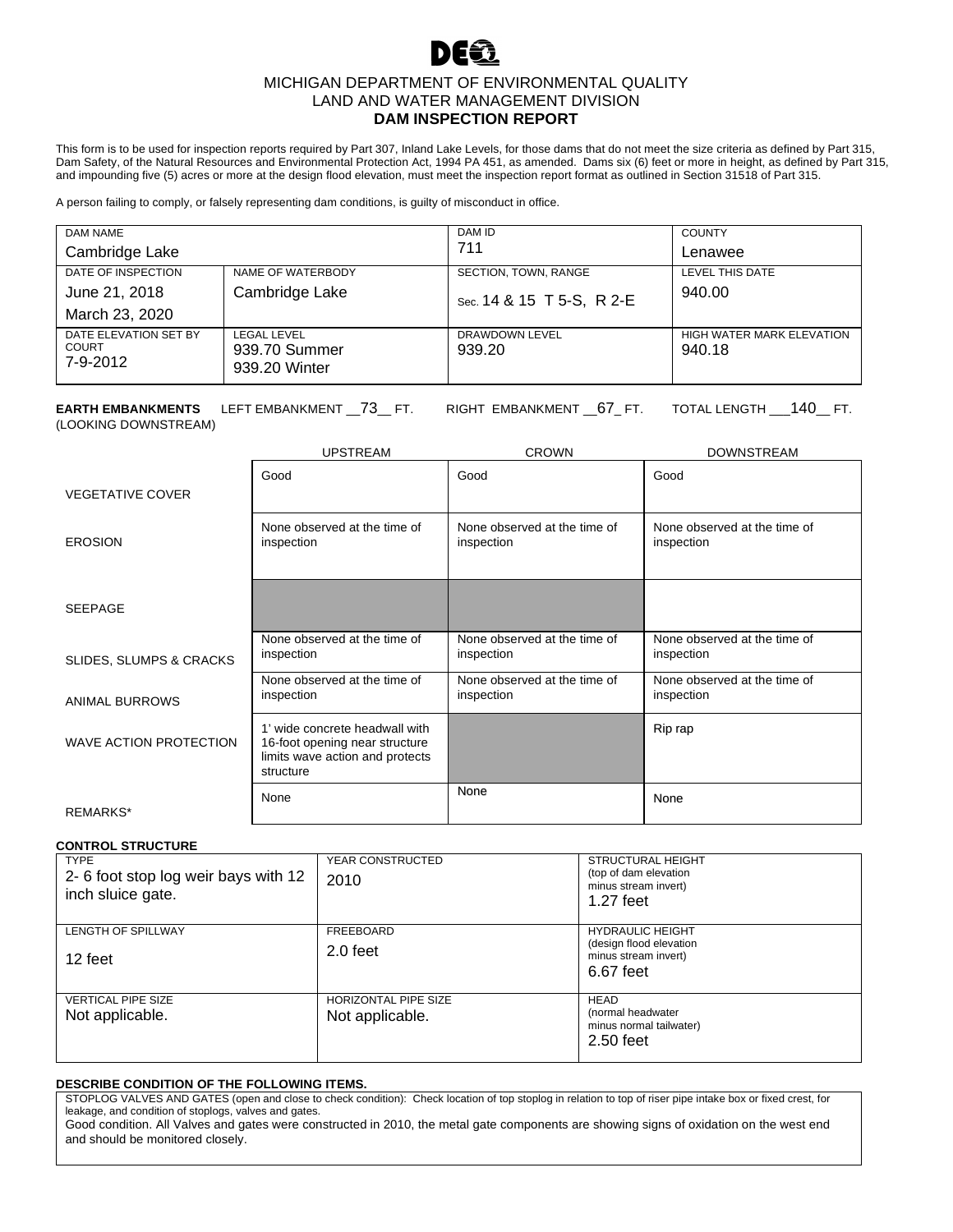### MICHIGAN DEPARTMENT OF ENVIRONMENTAL QUALITY LAND AND WATER MANAGEMENT DIVISION **DAM INSPECTION REPORT**

This form is to be used for inspection reports required by Part 307, Inland Lake Levels, for those dams that do not meet the size criteria as defined by Part 315, Dam Safety, of the Natural Resources and Environmental Protection Act, 1994 PA 451, as amended. Dams six (6) feet or more in height, as defined by Part 315, and impounding five (5) acres or more at the design flood elevation, must meet the inspection report format as outlined in Section 31518 of Part 315.

A person failing to comply, or falsely representing dam conditions, is guilty of misconduct in office.

| DAM NAME<br>Cambridge Lake                            |                                                      | DAM ID<br>711                                     | <b>COUNTY</b><br>Lenawee            |
|-------------------------------------------------------|------------------------------------------------------|---------------------------------------------------|-------------------------------------|
| DATE OF INSPECTION<br>June 21, 2018<br>March 23, 2020 | NAME OF WATERBODY<br>Cambridge Lake                  | SECTION, TOWN, RANGE<br>Sec. 14 & 15 T 5-S, R 2-E | LEVEL THIS DATE<br>940.00           |
| DATE ELEVATION SET BY<br><b>COURT</b><br>7-9-2012     | <b>LEGAL LEVEL</b><br>939.70 Summer<br>939.20 Winter | DRAWDOWN LEVEL<br>939.20                          | HIGH WATER MARK ELEVATION<br>940.18 |

**EARTH EMBANKMENTS** LEFT EMBANKMENT \_\_73\_\_ FT. RIGHT EMBANKMENT \_\_67\_ FT. TOTAL LENGTH \_\_\_140\_\_ FT. (LOOKING DOWNSTREAM)

|                                    | <b>UPSTREAM</b>                                                                                                  | <b>CROWN</b>                               | <b>DOWNSTREAM</b>                          |
|------------------------------------|------------------------------------------------------------------------------------------------------------------|--------------------------------------------|--------------------------------------------|
| <b>VEGETATIVE COVER</b>            | Good                                                                                                             | Good                                       | Good                                       |
| <b>EROSION</b>                     | None observed at the time of<br>inspection                                                                       | None observed at the time of<br>inspection | None observed at the time of<br>inspection |
| <b>SEEPAGE</b>                     |                                                                                                                  |                                            |                                            |
| <b>SLIDES, SLUMPS &amp; CRACKS</b> | None observed at the time of<br>inspection                                                                       | None observed at the time of<br>inspection | None observed at the time of<br>inspection |
| ANIMAL BURROWS                     | None observed at the time of<br>inspection                                                                       | None observed at the time of<br>inspection | None observed at the time of<br>inspection |
| WAVE ACTION PROTECTION             | 1' wide concrete headwall with<br>16-foot opening near structure<br>limits wave action and protects<br>structure |                                            | Rip rap                                    |
| <b>REMARKS*</b>                    | None                                                                                                             | None                                       | None                                       |

**CONTROL STRUCTURE**

| <b>TYPE</b><br>2-6 foot stop log weir bays with 12<br>inch sluice gate. | YEAR CONSTRUCTED<br>2010                | STRUCTURAL HEIGHT<br>(top of dam elevation<br>minus stream invert)<br>$1.27$ feet       |
|-------------------------------------------------------------------------|-----------------------------------------|-----------------------------------------------------------------------------------------|
| <b>LENGTH OF SPILLWAY</b><br>12 feet                                    | FREEBOARD<br>2.0 feet                   | <b>HYDRAULIC HEIGHT</b><br>(design flood elevation<br>minus stream invert)<br>6.67 feet |
| <b>VERTICAL PIPE SIZE</b><br>Not applicable.                            | HORIZONTAL PIPE SIZE<br>Not applicable. | <b>HEAD</b><br>(normal headwater<br>minus normal tailwater)<br>$2.50$ feet              |

#### **DESCRIBE CONDITION OF THE FOLLOWING ITEMS.**

STOPLOG VALVES AND GATES (open and close to check condition): Check location of top stoplog in relation to top of riser pipe intake box or fixed crest, for leakage, and condition of stoplogs, valves and gates.

Good condition. All Valves and gates were constructed in 2010, the metal gate components are showing signs of oxidation on the west end and should be monitored closely.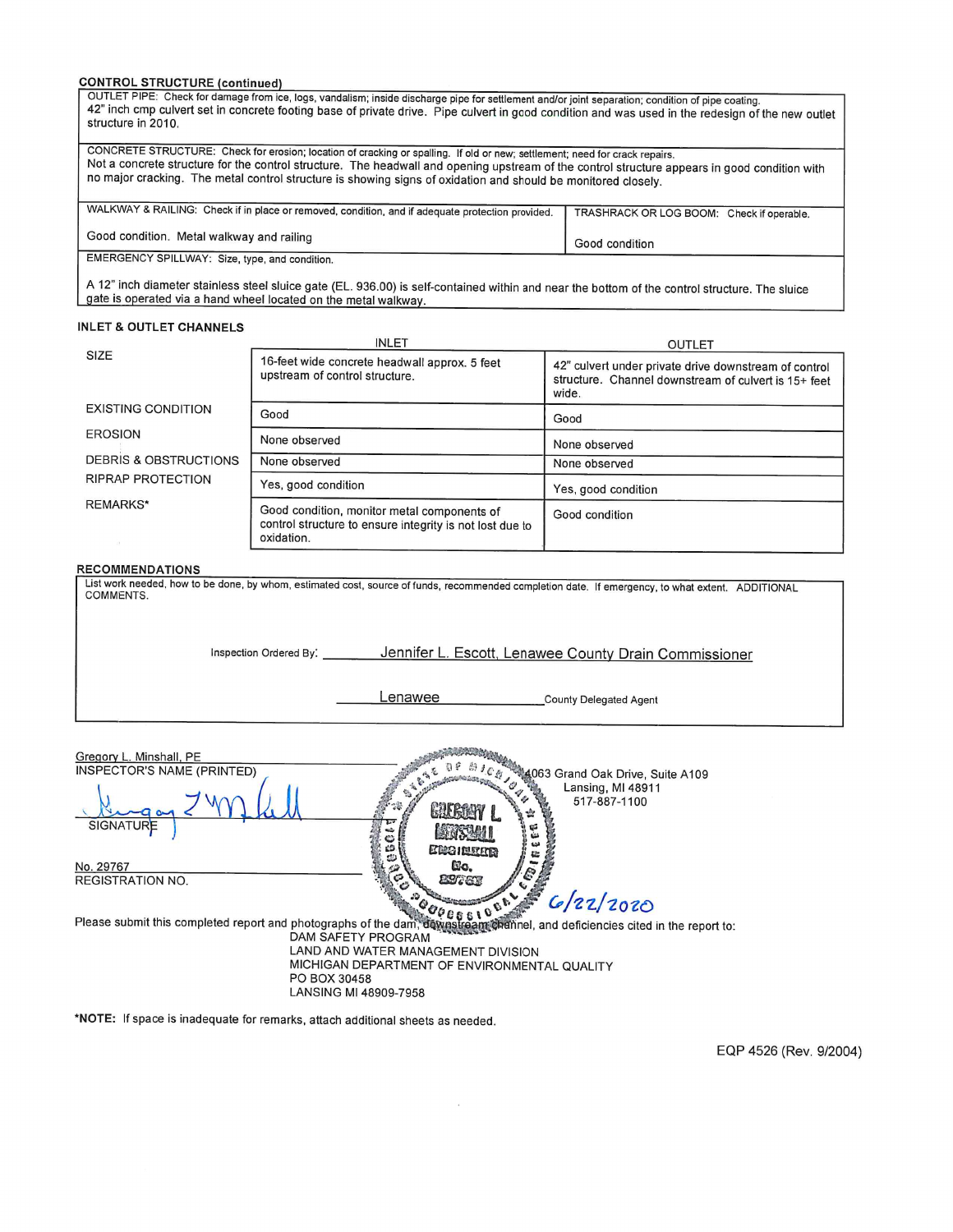#### **CONTROL STRUCTURE (continued)**

| OUTLET PIPE: Check for damage from ice, logs, vandalism; inside discharge pipe for settlement and/or joint separation; condition of pipe coating.<br>42" inch cmp culvert set in concrete footing base of private drive. Pipe culvert in good condition and was used in the redesign of the new outlet<br>structure in 2010.                                                                  |                                           |
|-----------------------------------------------------------------------------------------------------------------------------------------------------------------------------------------------------------------------------------------------------------------------------------------------------------------------------------------------------------------------------------------------|-------------------------------------------|
| CONCRETE STRUCTURE: Check for erosion; location of cracking or spalling. If old or new; settlement; need for crack repairs.<br>Not a concrete structure for the control structure. The headwall and opening upstream of the control structure appears in good condition with<br>no major cracking. The metal control structure is showing signs of oxidation and should be monitored closely. |                                           |
| WALKWAY & RAILING: Check if in place or removed, condition, and if adequate protection provided.                                                                                                                                                                                                                                                                                              | TRASHRACK OR LOG BOOM: Check if operable. |
| Good condition. Metal walkway and railing                                                                                                                                                                                                                                                                                                                                                     | Good condition                            |
| EMERGENCY SPILLWAY: Size, type, and condition.                                                                                                                                                                                                                                                                                                                                                |                                           |

A 12" inch diameter stainless steel sluice gate (EL. 936.00) is self-contained within and near the bottom of the control structure. The sluice gate is operated via a hand wheel located on the metal walkway.

#### **INLET & OUTLET CHANNELS**

|                                  | <b>INLET</b>                                                                                                          | <b>OUTLET</b>                                                                                                          |
|----------------------------------|-----------------------------------------------------------------------------------------------------------------------|------------------------------------------------------------------------------------------------------------------------|
| <b>SIZE</b>                      | 16-feet wide concrete headwall approx. 5 feet<br>upstream of control structure.                                       | 42" culvert under private drive downstream of control<br>structure. Channel downstream of culvert is 15+ feet<br>wide. |
| <b>EXISTING CONDITION</b>        | Good                                                                                                                  | Good                                                                                                                   |
| <b>EROSION</b>                   | None observed                                                                                                         | None observed                                                                                                          |
| <b>DEBRIS &amp; OBSTRUCTIONS</b> | None observed                                                                                                         | None observed                                                                                                          |
| <b>RIPRAP PROTECTION</b>         | Yes, good condition                                                                                                   | Yes, good condition                                                                                                    |
| <b>REMARKS*</b>                  | Good condition, monitor metal components of<br>control structure to ensure integrity is not lost due to<br>oxidation. | Good condition                                                                                                         |

#### **RECOMMENDATIONS**

| COMMENTS.              |                   | List work needed, how to be done, by whom, estimated cost, source of funds, recommended completion date. If emergency, to what extent. ADDITIONAL |
|------------------------|-------------------|---------------------------------------------------------------------------------------------------------------------------------------------------|
|                        |                   |                                                                                                                                                   |
|                        |                   |                                                                                                                                                   |
| Inspection Ordered By: |                   | Jennifer L. Escott, Lenawee County Drain Commissioner                                                                                             |
|                        |                   |                                                                                                                                                   |
|                        | -enawee           | <b>County Delegated Agent</b>                                                                                                                     |
|                        |                   |                                                                                                                                                   |
|                        | <b>STATISTICS</b> |                                                                                                                                                   |

Gregory L. Minshall, PE<br>INSPECTOR'S NAME (PRINTED) ଥାଏ ।<br>/ ୧ ନୁଆର୍ 1063 Grand Oak Drive, Suite A109<br>୧ କୁଆର୍ ନୁଆର୍ Lansing, MI 48911 Same R. R. E. Lansing, MI 48911<br>517-887-1100  $\frac{1}{2}$ p. SIGNATURE **PROVERED** 53<br>33 さんの場所 **ЕВЭНИЯТА** No. 29767<br>REGISTRATION NO. Cio. **23767** Please submit this completed report and photographs of the dam, done by the completed report to: DAM SAFETY PROGRAM LAND AND WATER MANAGEMENT DIVISION MICHIGAN DEPARTMENT OF ENVIRONMENTAL QUALITY PO BOX 30458 LANSING MI 48909-7958

\*NOTE: If space is inadequate for remarks, attach additional sheets as needed.

EQP 4526 (Rev. 9/2004)